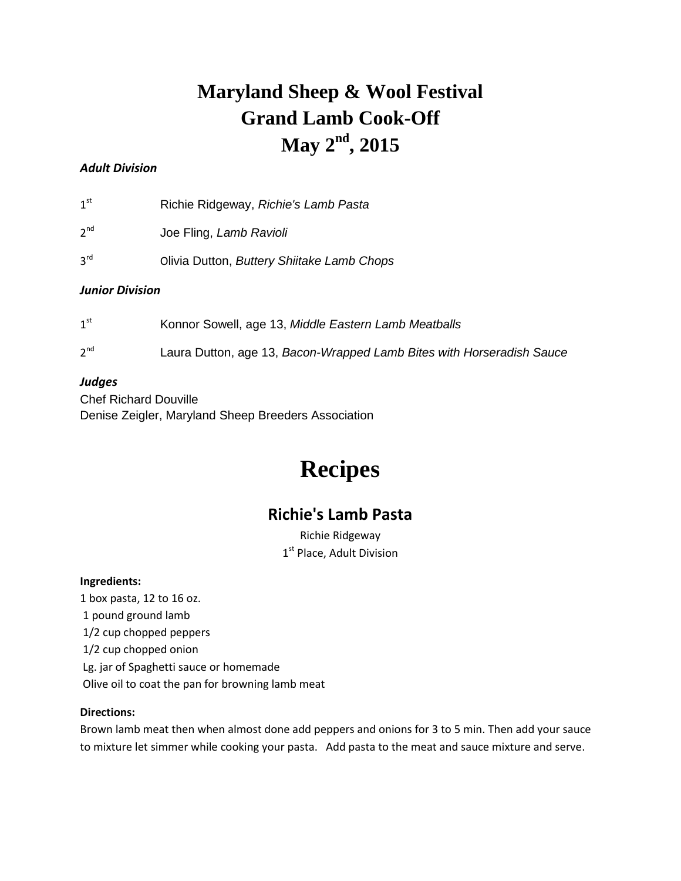# **Maryland Sheep & Wool Festival Grand Lamb Cook-Off May 2 nd , 2015**

## *Adult Division*

 $1<sup>st</sup>$ st Richie Ridgeway, *Richie's Lamb Pasta*

- $2<sup>nd</sup>$ Joe Fling, Lamb Ravioli
- $3<sup>rd</sup>$ rd Olivia Dutton, *Buttery Shiitake Lamb Chops*

### *Junior Division*

- $1<sup>st</sup>$ Konnor Sowell, age 13, Middle Eastern Lamb Meatballs
- $2<sup>nd</sup>$ Laura Dutton, age 13, *Bacon-Wrapped Lamb Bites with Horseradish Sauce*

### *Judges*

Chef Richard Douville Denise Zeigler, Maryland Sheep Breeders Association

# **Recipes**

# **Richie's Lamb Pasta**

Richie Ridgeway 1<sup>st</sup> Place, Adult Division

### **Ingredients:**

1 box pasta, 12 to 16 oz. 1 pound ground lamb 1/2 cup chopped peppers 1/2 cup chopped onion Lg. jar of Spaghetti sauce or homemade Olive oil to coat the pan for browning lamb meat

### **Directions:**

Brown lamb meat then when almost done add peppers and onions for 3 to 5 min. Then add your sauce to mixture let simmer while cooking your pasta. Add pasta to the meat and sauce mixture and serve.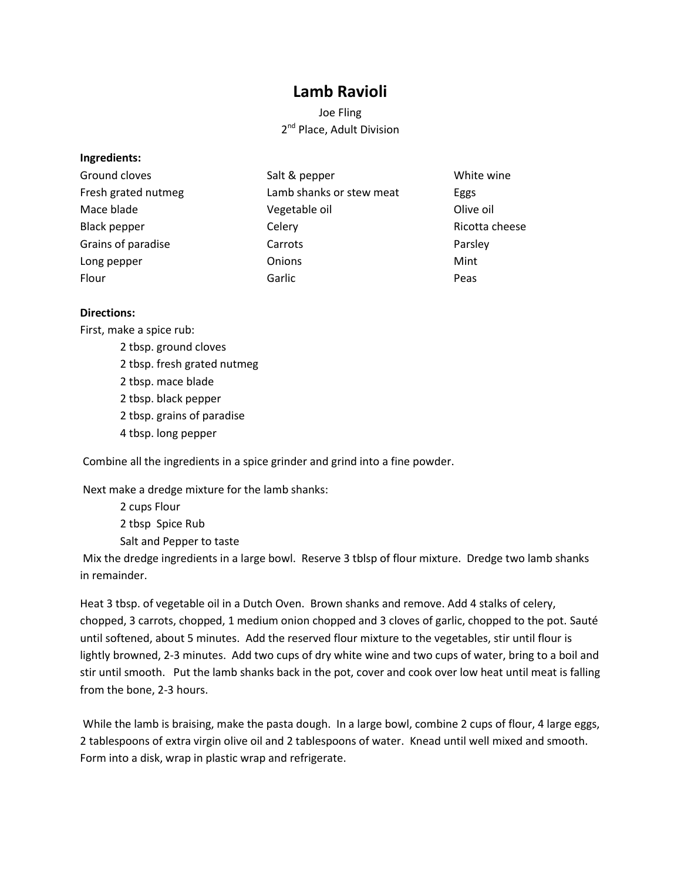## **Lamb Ravioli**

Joe Fling 2<sup>nd</sup> Place, Adult Division

#### **Ingredients:**

| Ground cloves       | Salt & pepper            | White wine     |
|---------------------|--------------------------|----------------|
| Fresh grated nutmeg | Lamb shanks or stew meat | Eggs           |
| Mace blade          | Vegetable oil            | Olive oil      |
| Black pepper        | Celery                   | Ricotta cheese |
| Grains of paradise  | Carrots                  | Parsley        |
| Long pepper         | Onions                   | Mint           |
| Flour               | Garlic                   | Peas           |

### **Directions:**

First, make a spice rub:

2 tbsp. ground cloves 2 tbsp. fresh grated nutmeg 2 tbsp. mace blade 2 tbsp. black pepper 2 tbsp. grains of paradise 4 tbsp. long pepper

Combine all the ingredients in a spice grinder and grind into a fine powder.

Next make a dredge mixture for the lamb shanks:

2 cups Flour 2 tbsp Spice Rub Salt and Pepper to taste

Mix the dredge ingredients in a large bowl. Reserve 3 tblsp of flour mixture. Dredge two lamb shanks in remainder.

Heat 3 tbsp. of vegetable oil in a Dutch Oven. Brown shanks and remove. Add 4 stalks of celery, chopped, 3 carrots, chopped, 1 medium onion chopped and 3 cloves of garlic, chopped to the pot. Sauté until softened, about 5 minutes. Add the reserved flour mixture to the vegetables, stir until flour is lightly browned, 2-3 minutes. Add two cups of dry white wine and two cups of water, bring to a boil and stir until smooth. Put the lamb shanks back in the pot, cover and cook over low heat until meat is falling from the bone, 2-3 hours.

While the lamb is braising, make the pasta dough. In a large bowl, combine 2 cups of flour, 4 large eggs, 2 tablespoons of extra virgin olive oil and 2 tablespoons of water. Knead until well mixed and smooth. Form into a disk, wrap in plastic wrap and refrigerate.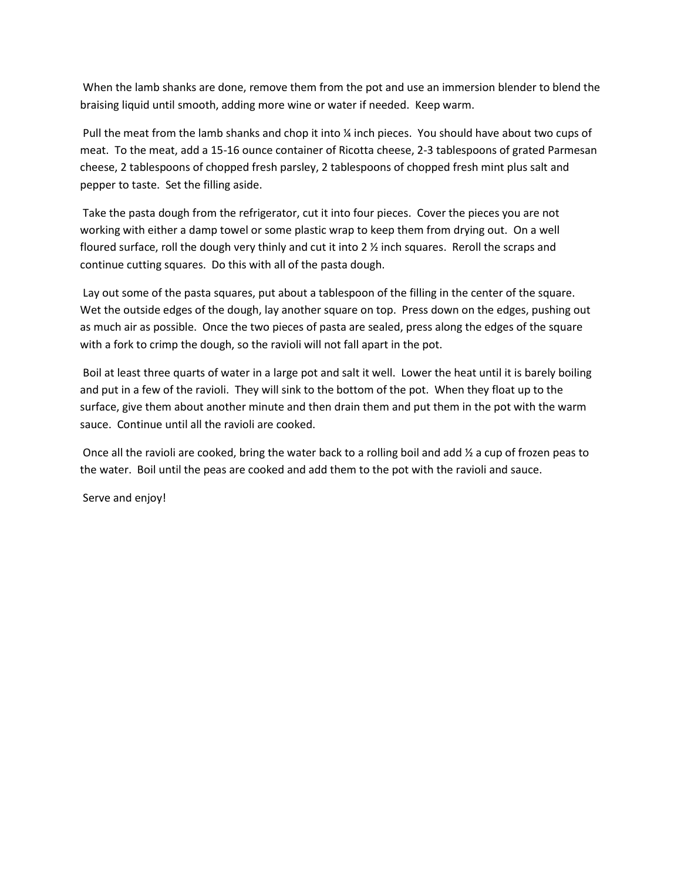When the lamb shanks are done, remove them from the pot and use an immersion blender to blend the braising liquid until smooth, adding more wine or water if needed. Keep warm.

Pull the meat from the lamb shanks and chop it into ¼ inch pieces. You should have about two cups of meat. To the meat, add a 15-16 ounce container of Ricotta cheese, 2-3 tablespoons of grated Parmesan cheese, 2 tablespoons of chopped fresh parsley, 2 tablespoons of chopped fresh mint plus salt and pepper to taste. Set the filling aside.

Take the pasta dough from the refrigerator, cut it into four pieces. Cover the pieces you are not working with either a damp towel or some plastic wrap to keep them from drying out. On a well floured surface, roll the dough very thinly and cut it into 2  $\frac{1}{2}$  inch squares. Reroll the scraps and continue cutting squares. Do this with all of the pasta dough.

Lay out some of the pasta squares, put about a tablespoon of the filling in the center of the square. Wet the outside edges of the dough, lay another square on top. Press down on the edges, pushing out as much air as possible. Once the two pieces of pasta are sealed, press along the edges of the square with a fork to crimp the dough, so the ravioli will not fall apart in the pot.

Boil at least three quarts of water in a large pot and salt it well. Lower the heat until it is barely boiling and put in a few of the ravioli. They will sink to the bottom of the pot. When they float up to the surface, give them about another minute and then drain them and put them in the pot with the warm sauce. Continue until all the ravioli are cooked.

Once all the ravioli are cooked, bring the water back to a rolling boil and add ½ a cup of frozen peas to the water. Boil until the peas are cooked and add them to the pot with the ravioli and sauce.

Serve and enjoy!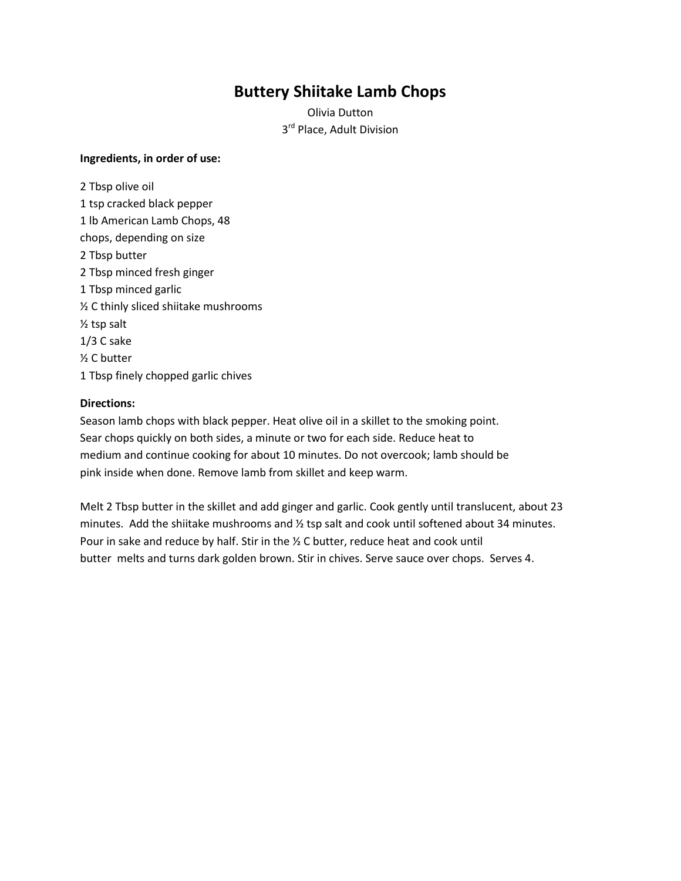# **Buttery Shiitake Lamb Chops**

Olivia Dutton 3<sup>rd</sup> Place, Adult Division

#### **Ingredients, in order of use:**

2 Tbsp olive oil 1 tsp cracked black pepper 1 lb American Lamb Chops, 48 chops, depending on size 2 Tbsp butter 2 Tbsp minced fresh ginger 1 Tbsp minced garlic ½ C thinly sliced shiitake mushrooms ½ tsp salt 1/3 C sake ½ C butter 1 Tbsp finely chopped garlic chives

### **Directions:**

Season lamb chops with black pepper. Heat olive oil in a skillet to the smoking point. Sear chops quickly on both sides, a minute or two for each side. Reduce heat to medium and continue cooking for about 10 minutes. Do not overcook; lamb should be pink inside when done. Remove lamb from skillet and keep warm.

Melt 2 Tbsp butter in the skillet and add ginger and garlic. Cook gently until translucent, about 23 minutes. Add the shiitake mushrooms and ½ tsp salt and cook until softened about 34 minutes. Pour in sake and reduce by half. Stir in the ½ C butter, reduce heat and cook until butter melts and turns dark golden brown. Stir in chives. Serve sauce over chops. Serves 4.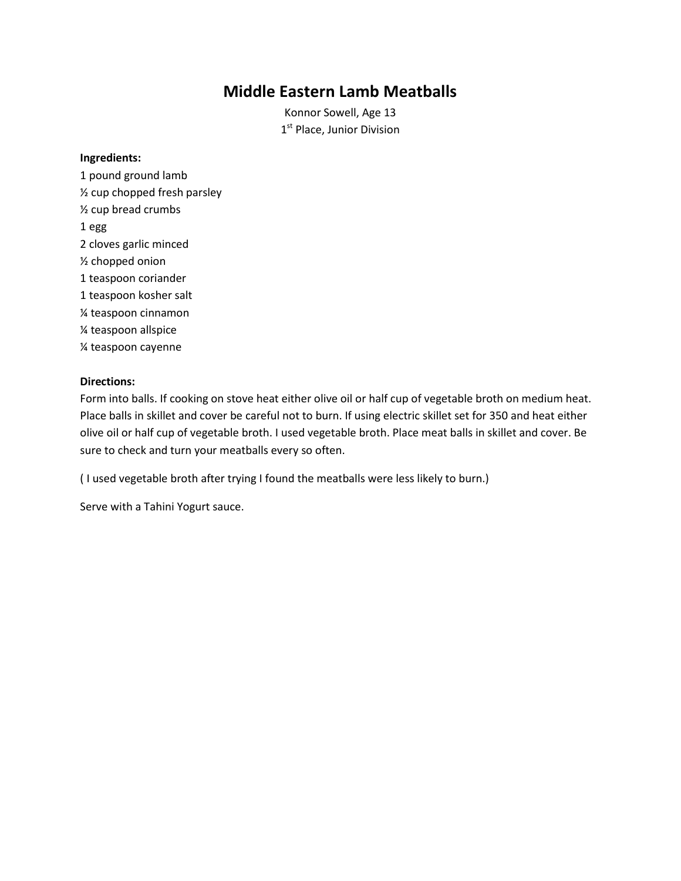# **Middle Eastern Lamb Meatballs**

Konnor Sowell, Age 13 1<sup>st</sup> Place, Junior Division

### **Ingredients:**

1 pound ground lamb ½ cup chopped fresh parsley ½ cup bread crumbs 1 egg 2 cloves garlic minced ½ chopped onion 1 teaspoon coriander 1 teaspoon kosher salt ¼ teaspoon cinnamon ¼ teaspoon allspice ¼ teaspoon cayenne

### **Directions:**

Form into balls. If cooking on stove heat either olive oil or half cup of vegetable broth on medium heat. Place balls in skillet and cover be careful not to burn. If using electric skillet set for 350 and heat either olive oil or half cup of vegetable broth. I used vegetable broth. Place meat balls in skillet and cover. Be sure to check and turn your meatballs every so often.

( I used vegetable broth after trying I found the meatballs were less likely to burn.)

Serve with a Tahini Yogurt sauce.